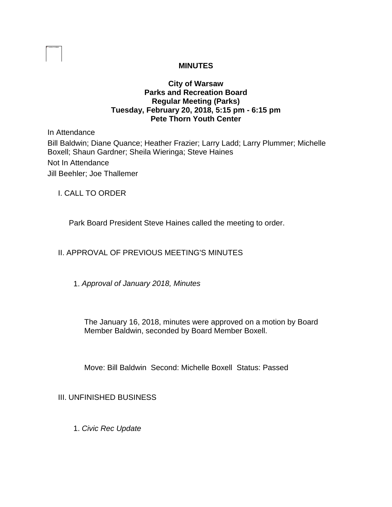# **MINUTES**

### **City of Warsaw Parks and Recreation Board Regular Meeting (Parks) Tuesday, February 20, 2018, 5:15 pm - 6:15 pm Pete Thorn Youth Center**

In Attendance Bill Baldwin; Diane Quance; Heather Frazier; Larry Ladd; Larry Plummer; Michelle Boxell; Shaun Gardner; Sheila Wieringa; Steve Haines Not In Attendance Jill Beehler; Joe Thallemer

I. CALL TO ORDER

Park Board President Steve Haines called the meeting to order.

# II. APPROVAL OF PREVIOUS MEETING'S MINUTES

1. *Approval of January 2018, Minutes* 

The January 16, 2018, minutes were approved on a motion by Board Member Baldwin, seconded by Board Member Boxell.

Move: Bill Baldwin Second: Michelle Boxell Status: Passed

III. UNFINISHED BUSINESS

1. *Civic Rec Update*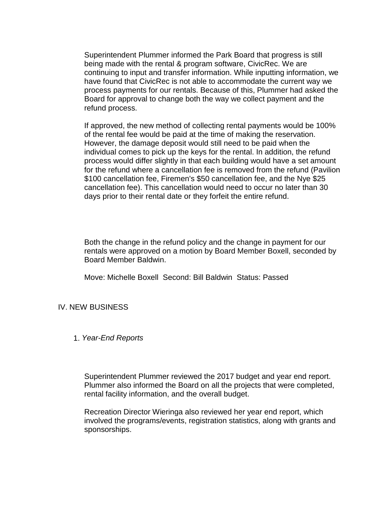Superintendent Plummer informed the Park Board that progress is still being made with the rental & program software, CivicRec. We are continuing to input and transfer information. While inputting information, we have found that CivicRec is not able to accommodate the current way we process payments for our rentals. Because of this, Plummer had asked the Board for approval to change both the way we collect payment and the refund process.

If approved, the new method of collecting rental payments would be 100% of the rental fee would be paid at the time of making the reservation. However, the damage deposit would still need to be paid when the individual comes to pick up the keys for the rental. In addition, the refund process would differ slightly in that each building would have a set amount for the refund where a cancellation fee is removed from the refund (Pavilion \$100 cancellation fee, Firemen's \$50 cancellation fee, and the Nye \$25 cancellation fee). This cancellation would need to occur no later than 30 days prior to their rental date or they forfeit the entire refund.

Both the change in the refund policy and the change in payment for our rentals were approved on a motion by Board Member Boxell, seconded by Board Member Baldwin.

Move: Michelle Boxell Second: Bill Baldwin Status: Passed

## IV. NEW BUSINESS

#### 1. *Year-End Reports*

Superintendent Plummer reviewed the 2017 budget and year end report. Plummer also informed the Board on all the projects that were completed, rental facility information, and the overall budget.

Recreation Director Wieringa also reviewed her year end report, which involved the programs/events, registration statistics, along with grants and sponsorships.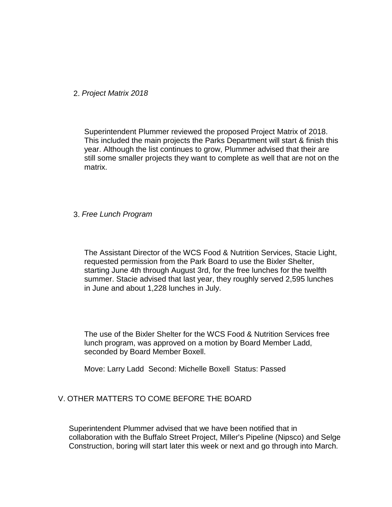2. *Project Matrix 2018*

Superintendent Plummer reviewed the proposed Project Matrix of 2018. This included the main projects the Parks Department will start & finish this year. Although the list continues to grow, Plummer advised that their are still some smaller projects they want to complete as well that are not on the matrix.

#### 3. *Free Lunch Program*

The Assistant Director of the WCS Food & Nutrition Services, Stacie Light, requested permission from the Park Board to use the Bixler Shelter, starting June 4th through August 3rd, for the free lunches for the twelfth summer. Stacie advised that last year, they roughly served 2,595 lunches in June and about 1,228 lunches in July.

The use of the Bixler Shelter for the WCS Food & Nutrition Services free lunch program, was approved on a motion by Board Member Ladd, seconded by Board Member Boxell.

Move: Larry Ladd Second: Michelle Boxell Status: Passed

# V. OTHER MATTERS TO COME BEFORE THE BOARD

Superintendent Plummer advised that we have been notified that in collaboration with the Buffalo Street Project, Miller's Pipeline (Nipsco) and Selge Construction, boring will start later this week or next and go through into March.